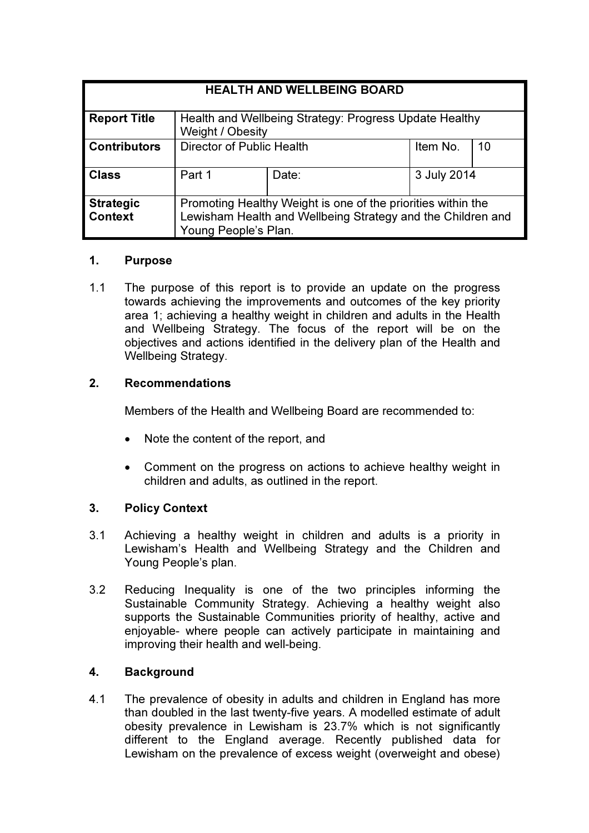| <b>HEALTH AND WELLBEING BOARD</b>  |                                                                                                                                                     |       |             |    |
|------------------------------------|-----------------------------------------------------------------------------------------------------------------------------------------------------|-------|-------------|----|
| <b>Report Title</b>                | Health and Wellbeing Strategy: Progress Update Healthy<br>Weight / Obesity                                                                          |       |             |    |
| <b>Contributors</b>                | Director of Public Health                                                                                                                           |       | Item No.    | 10 |
| <b>Class</b>                       | Part 1                                                                                                                                              | Date: | 3 July 2014 |    |
| <b>Strategic</b><br><b>Context</b> | Promoting Healthy Weight is one of the priorities within the<br>Lewisham Health and Wellbeing Strategy and the Children and<br>Young People's Plan. |       |             |    |

# 1. Purpose

1.1 The purpose of this report is to provide an update on the progress towards achieving the improvements and outcomes of the key priority area 1; achieving a healthy weight in children and adults in the Health and Wellbeing Strategy. The focus of the report will be on the objectives and actions identified in the delivery plan of the Health and Wellbeing Strategy.

# 2. Recommendations

Members of the Health and Wellbeing Board are recommended to:

- Note the content of the report, and
- Comment on the progress on actions to achieve healthy weight in children and adults, as outlined in the report.

# 3. Policy Context

- 3.1 Achieving a healthy weight in children and adults is a priority in Lewisham's Health and Wellbeing Strategy and the Children and Young People's plan.
- 3.2 Reducing Inequality is one of the two principles informing the Sustainable Community Strategy. Achieving a healthy weight also supports the Sustainable Communities priority of healthy, active and enjoyable- where people can actively participate in maintaining and improving their health and well-being.

# 4. Background

4.1 The prevalence of obesity in adults and children in England has more than doubled in the last twenty-five years. A modelled estimate of adult obesity prevalence in Lewisham is 23.7% which is not significantly different to the England average. Recently published data for Lewisham on the prevalence of excess weight (overweight and obese)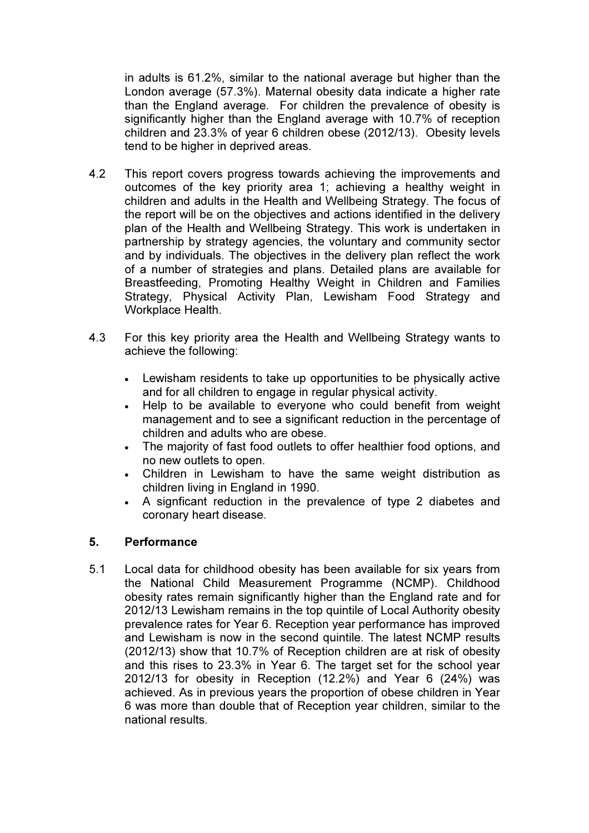in adults is 61.2%, similar to the national average but higher than the London average (57.3%). Maternal obesity data indicate a higher rate than the England average. For children the prevalence of obesity is significantly higher than the England average with 10.7% of reception children and 23.3% of year 6 children obese (2012/13). Obesity levels tend to be higher in deprived areas.

- 4.2 This report covers progress towards achieving the improvements and outcomes of the key priority area 1; achieving a healthy weight in children and adults in the Health and Wellbeing Strategy. The focus of the report will be on the objectives and actions identified in the delivery plan of the Health and Wellbeing Strategy. This work is undertaken in partnership by strategy agencies, the voluntary and community sector and by individuals. The objectives in the delivery plan reflect the work of a number of strategies and plans. Detailed plans are available for Breastfeeding, Promoting Healthy Weight in Children and Families Strategy, Physical Activity Plan, Lewisham Food Strategy and Workplace Health.
- 4.3 For this key priority area the Health and Wellbeing Strategy wants to achieve the following:
	- Lewisham residents to take up opportunities to be physically active and for all children to engage in regular physical activity.
	- Help to be available to everyone who could benefit from weight management and to see a significant reduction in the percentage of children and adults who are obese.
	- The maiority of fast food outlets to offer healthier food options, and no new outlets to open.
	- Children in Lewisham to have the same weight distribution as children living in England in 1990.
	- A signficant reduction in the prevalence of type 2 diabetes and coronary heart disease.

# 5. Performance

5.1 Local data for childhood obesity has been available for six years from the National Child Measurement Programme (NCMP). Childhood obesity rates remain significantly higher than the England rate and for 2012/13 Lewisham remains in the top quintile of Local Authority obesity prevalence rates for Year 6. Reception year performance has improved and Lewisham is now in the second quintile. The latest NCMP results (2012/13) show that 10.7% of Reception children are at risk of obesity and this rises to 23.3% in Year 6. The target set for the school year 2012/13 for obesity in Reception (12.2%) and Year 6 (24%) was achieved. As in previous years the proportion of obese children in Year 6 was more than double that of Reception year children, similar to the national results.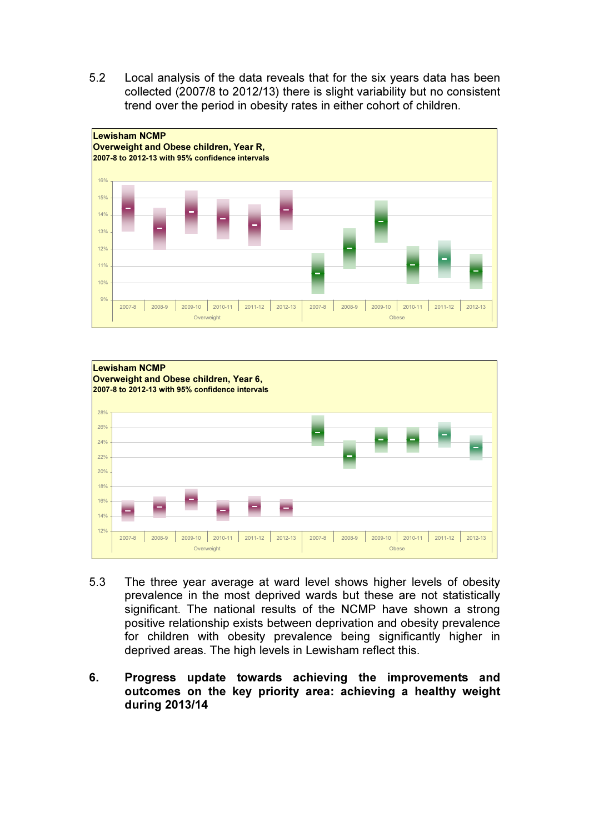5.2 Local analysis of the data reveals that for the six years data has been collected (2007/8 to 2012/13) there is slight variability but no consistent trend over the period in obesity rates in either cohort of children.





- 5.3 The three year average at ward level shows higher levels of obesity prevalence in the most deprived wards but these are not statistically significant. The national results of the NCMP have shown a strong positive relationship exists between deprivation and obesity prevalence for children with obesity prevalence being significantly higher in deprived areas. The high levels in Lewisham reflect this.
- 6. Progress update towards achieving the improvements and outcomes on the key priority area: achieving a healthy weight during 2013/14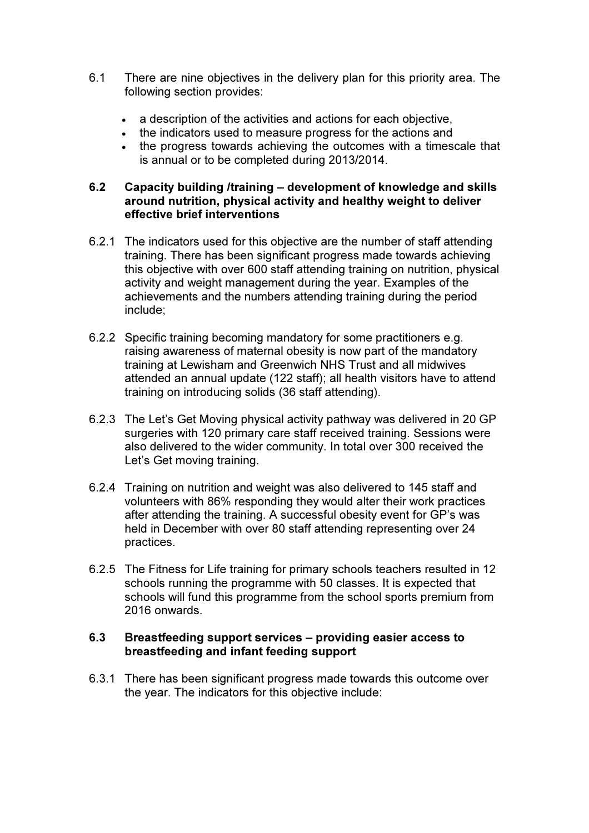- 6.1 There are nine objectives in the delivery plan for this priority area. The following section provides:
	- a description of the activities and actions for each objective,
	- the indicators used to measure progress for the actions and
	- the progress towards achieving the outcomes with a timescale that is annual or to be completed during 2013/2014.

## 6.2 Capacity building /training – development of knowledge and skills around nutrition, physical activity and healthy weight to deliver effective brief interventions

- 6.2.1 The indicators used for this objective are the number of staff attending training. There has been significant progress made towards achieving this objective with over 600 staff attending training on nutrition, physical activity and weight management during the year. Examples of the achievements and the numbers attending training during the period include;
- 6.2.2 Specific training becoming mandatory for some practitioners e.g. raising awareness of maternal obesity is now part of the mandatory training at Lewisham and Greenwich NHS Trust and all midwives attended an annual update (122 staff); all health visitors have to attend training on introducing solids (36 staff attending).
- 6.2.3 The Let's Get Moving physical activity pathway was delivered in 20 GP surgeries with 120 primary care staff received training. Sessions were also delivered to the wider community. In total over 300 received the Let's Get moving training.
- 6.2.4 Training on nutrition and weight was also delivered to 145 staff and volunteers with 86% responding they would alter their work practices after attending the training. A successful obesity event for GP's was held in December with over 80 staff attending representing over 24 practices.
- 6.2.5 The Fitness for Life training for primary schools teachers resulted in 12 schools running the programme with 50 classes. It is expected that schools will fund this programme from the school sports premium from 2016 onwards.

# 6.3 Breastfeeding support services – providing easier access to breastfeeding and infant feeding support

6.3.1 There has been significant progress made towards this outcome over the year. The indicators for this objective include: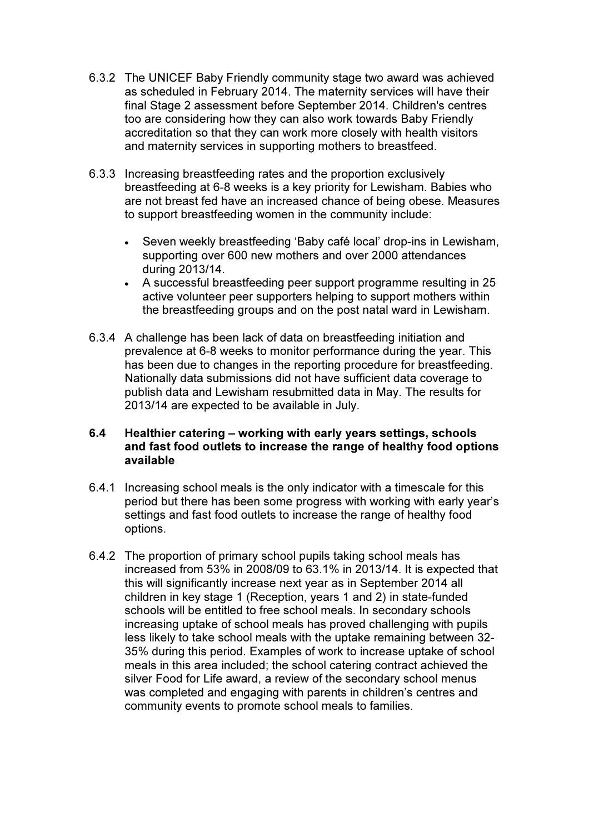- 6.3.2 The UNICEF Baby Friendly community stage two award was achieved as scheduled in February 2014. The maternity services will have their final Stage 2 assessment before September 2014. Children's centres too are considering how they can also work towards Baby Friendly accreditation so that they can work more closely with health visitors and maternity services in supporting mothers to breastfeed.
- 6.3.3 Increasing breastfeeding rates and the proportion exclusively breastfeeding at 6-8 weeks is a key priority for Lewisham. Babies who are not breast fed have an increased chance of being obese. Measures to support breastfeeding women in the community include:
	- Seven weekly breastfeeding 'Baby café local' drop-ins in Lewisham, supporting over 600 new mothers and over 2000 attendances during 2013/14.
	- A successful breastfeeding peer support programme resulting in 25 active volunteer peer supporters helping to support mothers within the breastfeeding groups and on the post natal ward in Lewisham.
- 6.3.4 A challenge has been lack of data on breastfeeding initiation and prevalence at 6-8 weeks to monitor performance during the year. This has been due to changes in the reporting procedure for breastfeeding. Nationally data submissions did not have sufficient data coverage to publish data and Lewisham resubmitted data in May. The results for 2013/14 are expected to be available in July.

# 6.4 Healthier catering – working with early years settings, schools and fast food outlets to increase the range of healthy food options available

- 6.4.1 Increasing school meals is the only indicator with a timescale for this period but there has been some progress with working with early year's settings and fast food outlets to increase the range of healthy food options.
- 6.4.2 The proportion of primary school pupils taking school meals has increased from 53% in 2008/09 to 63.1% in 2013/14. It is expected that this will significantly increase next year as in September 2014 all children in key stage 1 (Reception, years 1 and 2) in state-funded schools will be entitled to free school meals. In secondary schools increasing uptake of school meals has proved challenging with pupils less likely to take school meals with the uptake remaining between 32- 35% during this period. Examples of work to increase uptake of school meals in this area included; the school catering contract achieved the silver Food for Life award, a review of the secondary school menus was completed and engaging with parents in children's centres and community events to promote school meals to families.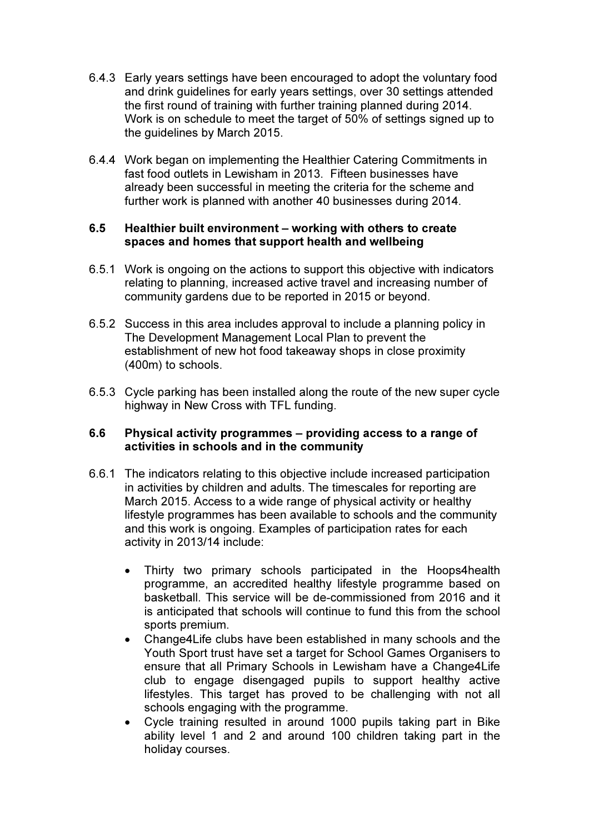- 6.4.3 Early years settings have been encouraged to adopt the voluntary food and drink guidelines for early years settings, over 30 settings attended the first round of training with further training planned during 2014. Work is on schedule to meet the target of 50% of settings signed up to the guidelines by March 2015.
- 6.4.4 Work began on implementing the Healthier Catering Commitments in fast food outlets in Lewisham in 2013. Fifteen businesses have already been successful in meeting the criteria for the scheme and further work is planned with another 40 businesses during 2014.

# 6.5 Healthier built environment – working with others to create spaces and homes that support health and wellbeing

- 6.5.1 Work is ongoing on the actions to support this objective with indicators relating to planning, increased active travel and increasing number of community gardens due to be reported in 2015 or beyond.
- 6.5.2 Success in this area includes approval to include a planning policy in The Development Management Local Plan to prevent the establishment of new hot food takeaway shops in close proximity (400m) to schools.
- 6.5.3 Cycle parking has been installed along the route of the new super cycle highway in New Cross with TFL funding.

# 6.6 Physical activity programmes – providing access to a range of activities in schools and in the community

- 6.6.1 The indicators relating to this objective include increased participation in activities by children and adults. The timescales for reporting are March 2015. Access to a wide range of physical activity or healthy lifestyle programmes has been available to schools and the community and this work is ongoing. Examples of participation rates for each activity in 2013/14 include:
	- Thirty two primary schools participated in the Hoops4health programme, an accredited healthy lifestyle programme based on basketball. This service will be de-commissioned from 2016 and it is anticipated that schools will continue to fund this from the school sports premium.
	- Change4Life clubs have been established in many schools and the Youth Sport trust have set a target for School Games Organisers to ensure that all Primary Schools in Lewisham have a Change4Life club to engage disengaged pupils to support healthy active lifestyles. This target has proved to be challenging with not all schools engaging with the programme.
	- Cycle training resulted in around 1000 pupils taking part in Bike ability level 1 and 2 and around 100 children taking part in the holiday courses.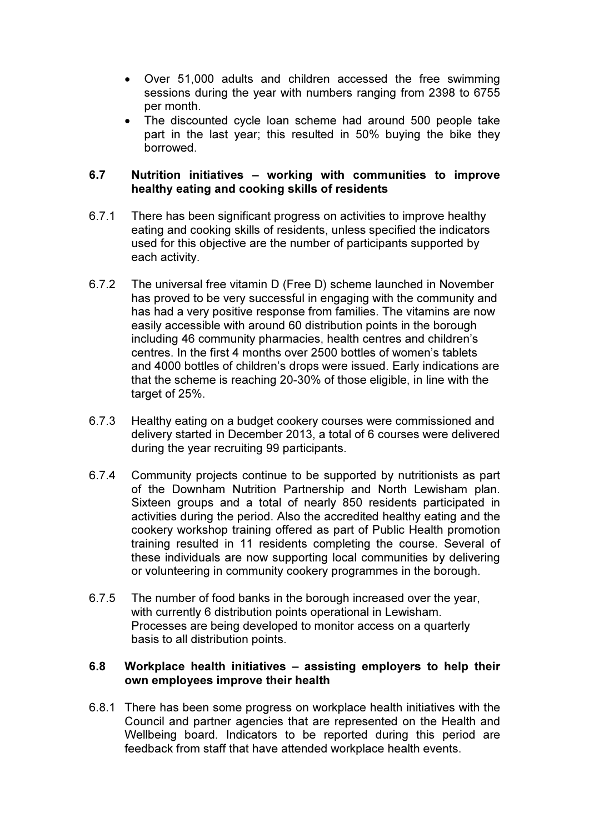- Over 51,000 adults and children accessed the free swimming sessions during the year with numbers ranging from 2398 to 6755 per month.
- The discounted cycle loan scheme had around 500 people take part in the last year; this resulted in 50% buying the bike they borrowed.

## 6.7 Nutrition initiatives – working with communities to improve healthy eating and cooking skills of residents

- 6.7.1 There has been significant progress on activities to improve healthy eating and cooking skills of residents, unless specified the indicators used for this objective are the number of participants supported by each activity.
- 6.7.2 The universal free vitamin D (Free D) scheme launched in November has proved to be very successful in engaging with the community and has had a very positive response from families. The vitamins are now easily accessible with around 60 distribution points in the borough including 46 community pharmacies, health centres and children's centres. In the first 4 months over 2500 bottles of women's tablets and 4000 bottles of children's drops were issued. Early indications are that the scheme is reaching 20-30% of those eligible, in line with the target of 25%.
- 6.7.3 Healthy eating on a budget cookery courses were commissioned and delivery started in December 2013, a total of 6 courses were delivered during the year recruiting 99 participants.
- 6.7.4 Community projects continue to be supported by nutritionists as part of the Downham Nutrition Partnership and North Lewisham plan. Sixteen groups and a total of nearly 850 residents participated in activities during the period. Also the accredited healthy eating and the cookery workshop training offered as part of Public Health promotion training resulted in 11 residents completing the course. Several of these individuals are now supporting local communities by delivering or volunteering in community cookery programmes in the borough.
- 6.7.5 The number of food banks in the borough increased over the year, with currently 6 distribution points operational in Lewisham. Processes are being developed to monitor access on a quarterly basis to all distribution points.

# 6.8 Workplace health initiatives – assisting employers to help their own employees improve their health

6.8.1 There has been some progress on workplace health initiatives with the Council and partner agencies that are represented on the Health and Wellbeing board. Indicators to be reported during this period are feedback from staff that have attended workplace health events.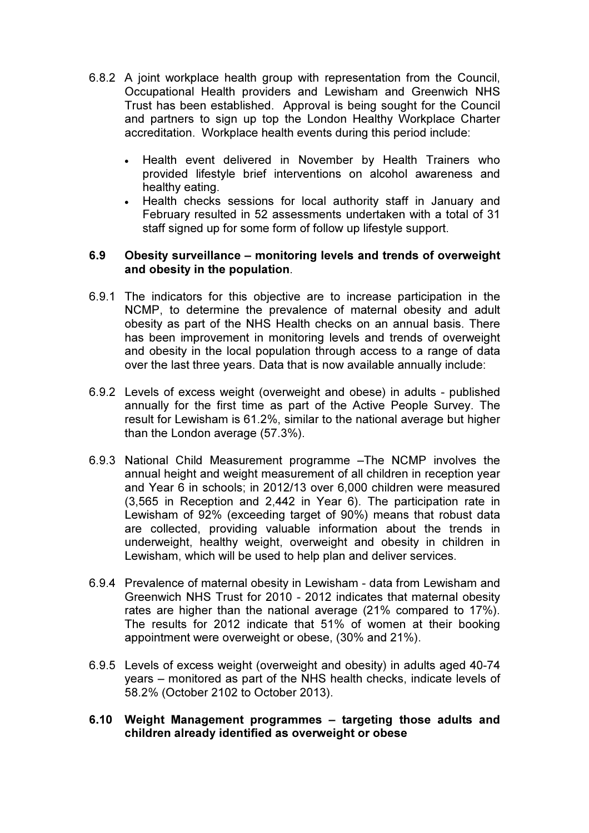- 6.8.2 A joint workplace health group with representation from the Council, Occupational Health providers and Lewisham and Greenwich NHS Trust has been established. Approval is being sought for the Council and partners to sign up top the London Healthy Workplace Charter accreditation. Workplace health events during this period include:
	- Health event delivered in November by Health Trainers who provided lifestyle brief interventions on alcohol awareness and healthy eating.
	- Health checks sessions for local authority staff in January and February resulted in 52 assessments undertaken with a total of 31 staff signed up for some form of follow up lifestyle support.

#### 6.9 Obesity surveillance – monitoring levels and trends of overweight and obesity in the population.

- 6.9.1 The indicators for this objective are to increase participation in the NCMP, to determine the prevalence of maternal obesity and adult obesity as part of the NHS Health checks on an annual basis. There has been improvement in monitoring levels and trends of overweight and obesity in the local population through access to a range of data over the last three years. Data that is now available annually include:
- 6.9.2 Levels of excess weight (overweight and obese) in adults published annually for the first time as part of the Active People Survey. The result for Lewisham is 61.2%, similar to the national average but higher than the London average (57.3%).
- 6.9.3 National Child Measurement programme –The NCMP involves the annual height and weight measurement of all children in reception year and Year 6 in schools; in 2012/13 over 6,000 children were measured (3,565 in Reception and 2,442 in Year 6). The participation rate in Lewisham of 92% (exceeding target of 90%) means that robust data are collected, providing valuable information about the trends in underweight, healthy weight, overweight and obesity in children in Lewisham, which will be used to help plan and deliver services.
- 6.9.4 Prevalence of maternal obesity in Lewisham data from Lewisham and Greenwich NHS Trust for 2010 - 2012 indicates that maternal obesity rates are higher than the national average (21% compared to 17%). The results for 2012 indicate that 51% of women at their booking appointment were overweight or obese, (30% and 21%).
- 6.9.5 Levels of excess weight (overweight and obesity) in adults aged 40-74 years – monitored as part of the NHS health checks, indicate levels of 58.2% (October 2102 to October 2013).

# 6.10 Weight Management programmes – targeting those adults and children already identified as overweight or obese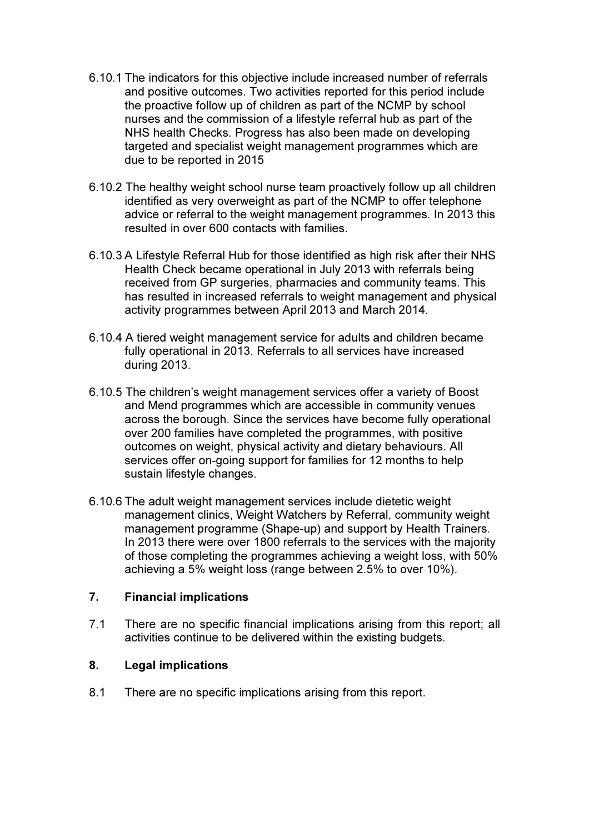- 6.10.1 The indicators for this objective include increased number of referrals and positive outcomes. Two activities reported for this period include the proactive follow up of children as part of the NCMP by school nurses and the commission of a lifestyle referral hub as part of the NHS health Checks. Progress has also been made on developing targeted and specialist weight management programmes which are due to be reported in 2015
- 6.10.2 The healthy weight school nurse team proactively follow up all children identified as very overweight as part of the NCMP to offer telephone advice or referral to the weight management programmes. In 2013 this resulted in over 600 contacts with families.
- 6.10.3 A Lifestyle Referral Hub for those identified as high risk after their NHS Health Check became operational in July 2013 with referrals being received from GP surgeries, pharmacies and community teams. This has resulted in increased referrals to weight management and physical activity programmes between April 2013 and March 2014.
- 6.10.4 A tiered weight management service for adults and children became fully operational in 2013. Referrals to all services have increased during 2013.
- 6.10.5 The children's weight management services offer a variety of Boost and Mend programmes which are accessible in community venues across the borough. Since the services have become fully operational over 200 families have completed the programmes, with positive outcomes on weight, physical activity and dietary behaviours. All services offer on-going support for families for 12 months to help sustain lifestyle changes.
- 6.10.6 The adult weight management services include dietetic weight management clinics, Weight Watchers by Referral, community weight management programme (Shape-up) and support by Health Trainers. In 2013 there were over 1800 referrals to the services with the majority of those completing the programmes achieving a weight loss, with 50% achieving a 5% weight loss (range between 2.5% to over 10%).

# 7. Financial implications

7.1 There are no specific financial implications arising from this report; all activities continue to be delivered within the existing budgets.

# 8. Legal implications

8.1 There are no specific implications arising from this report.